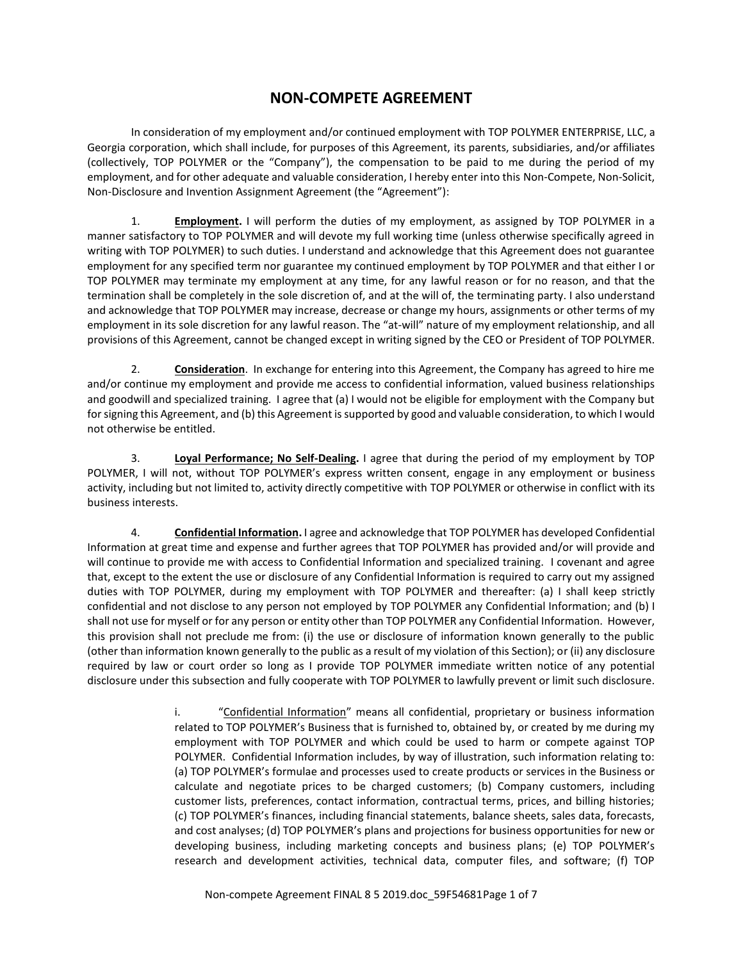## **NON-COMPETE AGREEMENT**

In consideration of my employment and/or continued employment with TOP POLYMER ENTERPRISE, LLC, a Georgia corporation, which shall include, for purposes of this Agreement, its parents, subsidiaries, and/or affiliates (collectively, TOP POLYMER or the "Company"), the compensation to be paid to me during the period of my employment, and for other adequate and valuable consideration, I hereby enter into this Non-Compete, Non-Solicit, Non-Disclosure and Invention Assignment Agreement (the "Agreement"):

1. **Employment.** I will perform the duties of my employment, as assigned by TOP POLYMER in a manner satisfactory to TOP POLYMER and will devote my full working time (unless otherwise specifically agreed in writing with TOP POLYMER) to such duties. I understand and acknowledge that this Agreement does not guarantee employment for any specified term nor guarantee my continued employment by TOP POLYMER and that either I or TOP POLYMER may terminate my employment at any time, for any lawful reason or for no reason, and that the termination shall be completely in the sole discretion of, and at the will of, the terminating party. I also understand and acknowledge that TOP POLYMER may increase, decrease or change my hours, assignments or other terms of my employment in its sole discretion for any lawful reason. The "at-will" nature of my employment relationship, and all provisions of this Agreement, cannot be changed except in writing signed by the CEO or President of TOP POLYMER.

2. **Consideration**. In exchange for entering into this Agreement, the Company has agreed to hire me and/or continue my employment and provide me access to confidential information, valued business relationships and goodwill and specialized training. I agree that (a) I would not be eligible for employment with the Company but for signing this Agreement, and (b) this Agreement is supported by good and valuable consideration, to which I would not otherwise be entitled.

3. **Loyal Performance; No Self-Dealing.** I agree that during the period of my employment by TOP POLYMER, I will not, without TOP POLYMER's express written consent, engage in any employment or business activity, including but not limited to, activity directly competitive with TOP POLYMER or otherwise in conflict with its business interests.

4. **Confidential Information.** I agree and acknowledge that TOP POLYMER has developed Confidential Information at great time and expense and further agrees that TOP POLYMER has provided and/or will provide and will continue to provide me with access to Confidential Information and specialized training. I covenant and agree that, except to the extent the use or disclosure of any Confidential Information is required to carry out my assigned duties with TOP POLYMER, during my employment with TOP POLYMER and thereafter: (a) I shall keep strictly confidential and not disclose to any person not employed by TOP POLYMER any Confidential Information; and (b) I shall not use for myself or for any person or entity other than TOP POLYMER any Confidential Information. However, this provision shall not preclude me from: (i) the use or disclosure of information known generally to the public (other than information known generally to the public as a result of my violation of this Section); or (ii) any disclosure required by law or court order so long as I provide TOP POLYMER immediate written notice of any potential disclosure under this subsection and fully cooperate with TOP POLYMER to lawfully prevent or limit such disclosure.

> i. "Confidential Information" means all confidential, proprietary or business information related to TOP POLYMER's Business that is furnished to, obtained by, or created by me during my employment with TOP POLYMER and which could be used to harm or compete against TOP POLYMER. Confidential Information includes, by way of illustration, such information relating to: (a) TOP POLYMER's formulae and processes used to create products or services in the Business or calculate and negotiate prices to be charged customers; (b) Company customers, including customer lists, preferences, contact information, contractual terms, prices, and billing histories; (c) TOP POLYMER's finances, including financial statements, balance sheets, sales data, forecasts, and cost analyses; (d) TOP POLYMER's plans and projections for business opportunities for new or developing business, including marketing concepts and business plans; (e) TOP POLYMER's research and development activities, technical data, computer files, and software; (f) TOP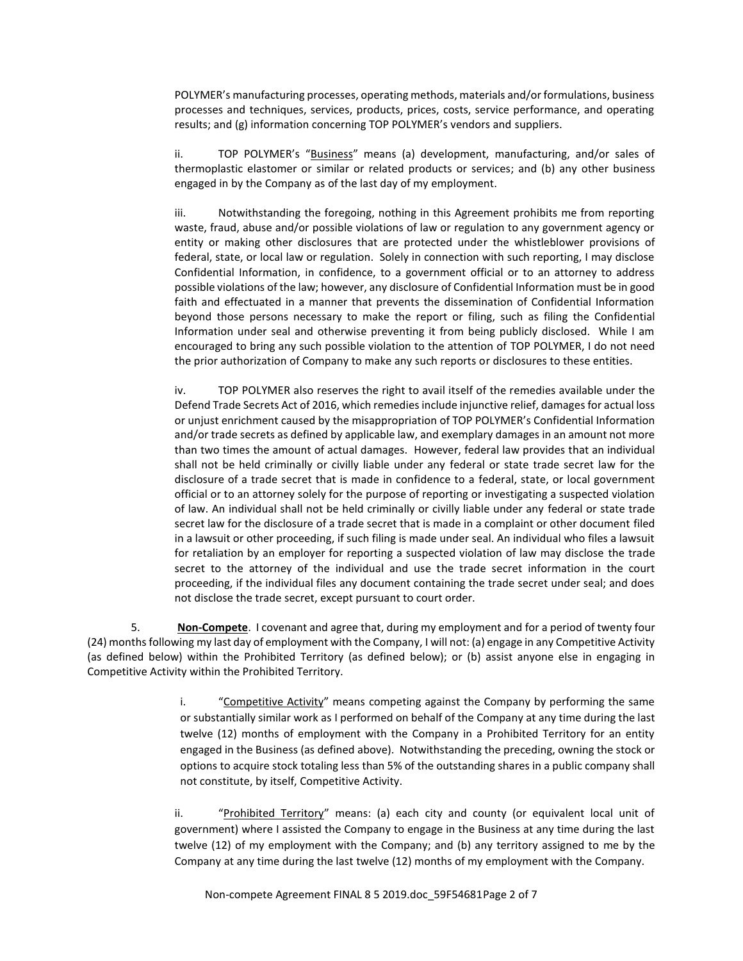POLYMER's manufacturing processes, operating methods, materials and/or formulations, business processes and techniques, services, products, prices, costs, service performance, and operating results; and (g) information concerning TOP POLYMER's vendors and suppliers.

ii. TOP POLYMER's "Business" means (a) development, manufacturing, and/or sales of thermoplastic elastomer or similar or related products or services; and (b) any other business engaged in by the Company as of the last day of my employment.

iii. Notwithstanding the foregoing, nothing in this Agreement prohibits me from reporting waste, fraud, abuse and/or possible violations of law or regulation to any government agency or entity or making other disclosures that are protected under the whistleblower provisions of federal, state, or local law or regulation. Solely in connection with such reporting, I may disclose Confidential Information, in confidence, to a government official or to an attorney to address possible violations of the law; however, any disclosure of Confidential Information must be in good faith and effectuated in a manner that prevents the dissemination of Confidential Information beyond those persons necessary to make the report or filing, such as filing the Confidential Information under seal and otherwise preventing it from being publicly disclosed. While I am encouraged to bring any such possible violation to the attention of TOP POLYMER, I do not need the prior authorization of Company to make any such reports or disclosures to these entities.

iv. TOP POLYMER also reserves the right to availitself of the remedies available under the Defend Trade Secrets Act of 2016, which remedies include injunctive relief, damages for actual loss or unjust enrichment caused by the misappropriation of TOP POLYMER's Confidential Information and/or trade secrets as defined by applicable law, and exemplary damages in an amount not more than two times the amount of actual damages. However, federal law provides that an individual shall not be held criminally or civilly liable under any federal or state trade secret law for the disclosure of a trade secret that is made in confidence to a federal, state, or local government official or to an attorney solely for the purpose of reporting or investigating a suspected violation of law. An individual shall not be held criminally or civilly liable under any federal or state trade secret law for the disclosure of a trade secret that is made in a complaint or other document filed in a lawsuit or other proceeding, if such filing is made under seal. An individual who files a lawsuit for retaliation by an employer for reporting a suspected violation of law may disclose the trade secret to the attorney of the individual and use the trade secret information in the court proceeding, if the individual files any document containing the trade secret under seal; and does not disclose the trade secret, except pursuant to court order.

5. **Non-Compete**. I covenant and agree that, during my employment and for a period of twenty four (24) months following my last day of employment with the Company, I will not: (a) engage in any Competitive Activity (as defined below) within the Prohibited Territory (as defined below); or (b) assist anyone else in engaging in Competitive Activity within the Prohibited Territory.

> i. "Competitive Activity" means competing against the Company by performing the same or substantially similar work as I performed on behalf of the Company at any time during the last twelve (12) months of employment with the Company in a Prohibited Territory for an entity engaged in the Business (as defined above). Notwithstanding the preceding, owning the stock or options to acquire stock totaling less than 5% of the outstanding shares in a public company shall not constitute, by itself, Competitive Activity.

ii. "Prohibited Territory" means: (a) each city and county (or equivalent local unit of government) where I assisted the Company to engage in the Business at any time during the last twelve (12) of my employment with the Company; and (b) any territory assigned to me by the Company at any time during the last twelve (12) months of my employment with the Company.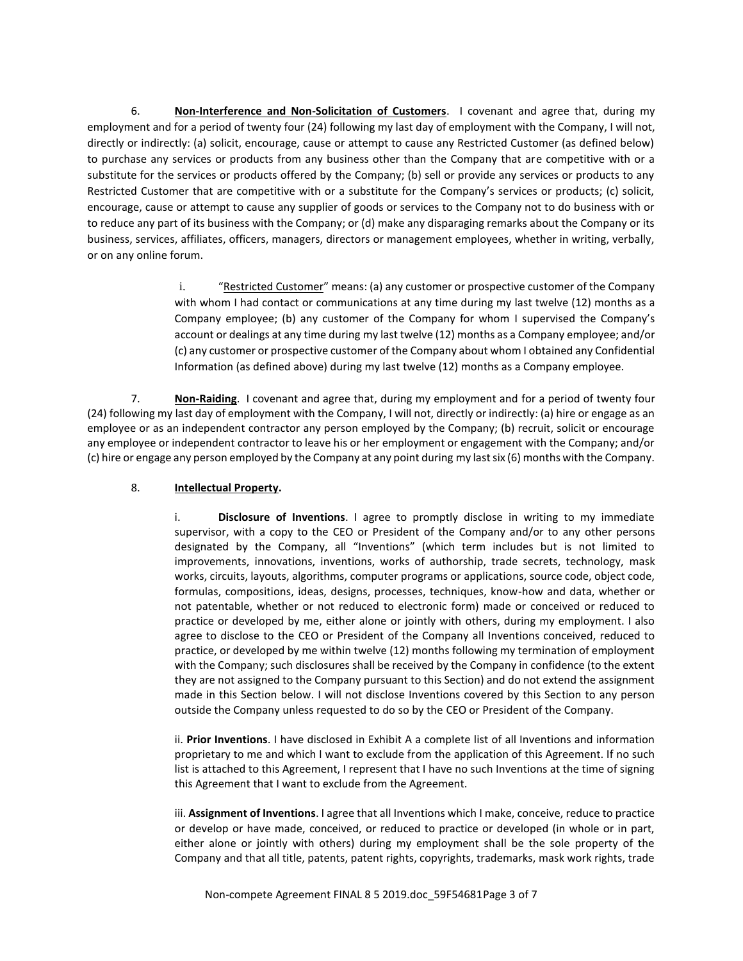6. **Non-Interference and Non-Solicitation of Customers**. I covenant and agree that, during my employment and for a period of twenty four (24) following my last day of employment with the Company, I will not, directly or indirectly: (a) solicit, encourage, cause or attempt to cause any Restricted Customer (as defined below) to purchase any services or products from any business other than the Company that are competitive with or a substitute for the services or products offered by the Company; (b) sell or provide any services or products to any Restricted Customer that are competitive with or a substitute for the Company's services or products; (c) solicit, encourage, cause or attempt to cause any supplier of goods or services to the Company not to do business with or to reduce any part of its business with the Company; or (d) make any disparaging remarks about the Company or its business, services, affiliates, officers, managers, directors or management employees, whether in writing, verbally, or on any online forum.

> i. "Restricted Customer" means: (a) any customer or prospective customer of the Company with whom I had contact or communications at any time during my last twelve (12) months as a Company employee; (b) any customer of the Company for whom I supervised the Company's account or dealings at any time during my last twelve (12) months as a Company employee; and/or (c) any customer or prospective customer of the Company about whom I obtained any Confidential Information (as defined above) during my last twelve (12) months as a Company employee.

7. **Non-Raiding**. I covenant and agree that, during my employment and for a period of twenty four (24) following my last day of employment with the Company, I will not, directly or indirectly: (a) hire or engage as an employee or as an independent contractor any person employed by the Company; (b) recruit, solicit or encourage any employee or independent contractor to leave his or her employment or engagement with the Company; and/or (c) hire or engage any person employed by the Company at any point during my last six (6) months with the Company.

## 8. **Intellectual Property.**

i. **Disclosure of Inventions**. I agree to promptly disclose in writing to my immediate supervisor, with a copy to the CEO or President of the Company and/or to any other persons designated by the Company, all "Inventions" (which term includes but is not limited to improvements, innovations, inventions, works of authorship, trade secrets, technology, mask works, circuits, layouts, algorithms, computer programs or applications, source code, object code, formulas, compositions, ideas, designs, processes, techniques, know-how and data, whether or not patentable, whether or not reduced to electronic form) made or conceived or reduced to practice or developed by me, either alone or jointly with others, during my employment. I also agree to disclose to the CEO or President of the Company all Inventions conceived, reduced to practice, or developed by me within twelve (12) months following my termination of employment with the Company; such disclosures shall be received by the Company in confidence (to the extent they are not assigned to the Company pursuant to this Section) and do not extend the assignment made in this Section below. I will not disclose Inventions covered by this Section to any person outside the Company unless requested to do so by the CEO or President of the Company.

ii. **Prior Inventions**. I have disclosed in Exhibit A a complete list of all Inventions and information proprietary to me and which I want to exclude from the application of this Agreement. If no such list is attached to this Agreement, I represent that I have no such Inventions at the time of signing this Agreement that I want to exclude from the Agreement.

iii. **Assignment of Inventions**. I agree that all Inventions which I make, conceive, reduce to practice or develop or have made, conceived, or reduced to practice or developed (in whole or in part, either alone or jointly with others) during my employment shall be the sole property of the Company and that all title, patents, patent rights, copyrights, trademarks, mask work rights, trade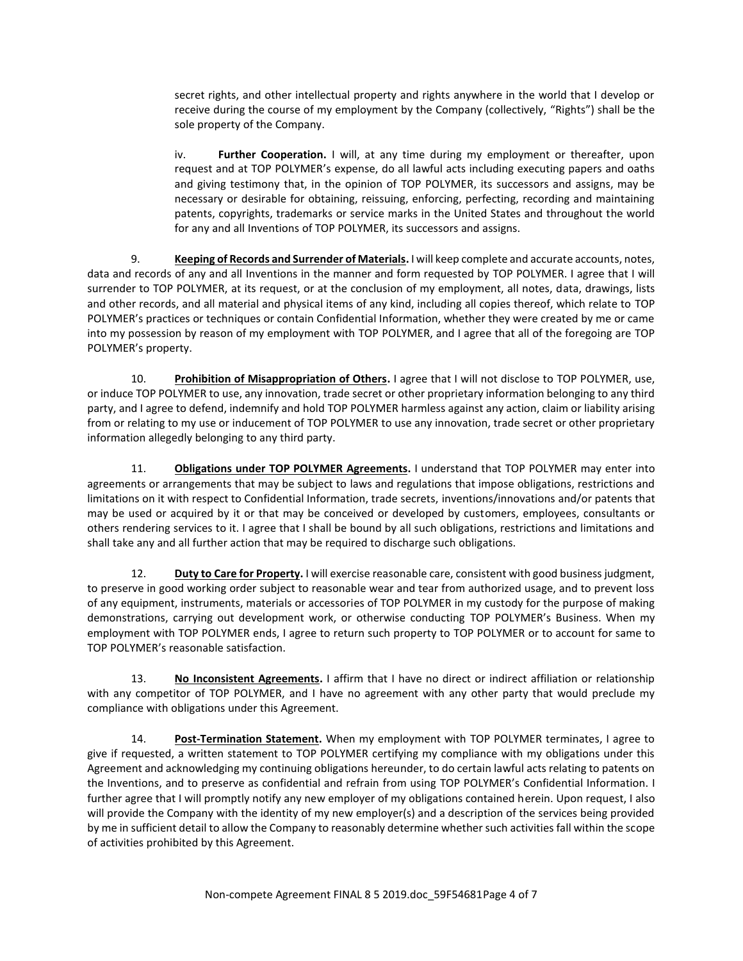secret rights, and other intellectual property and rights anywhere in the world that I develop or receive during the course of my employment by the Company (collectively, "Rights") shall be the sole property of the Company.

iv. **Further Cooperation.** I will, at any time during my employment or thereafter, upon request and at TOP POLYMER's expense, do all lawful acts including executing papers and oaths and giving testimony that, in the opinion of TOP POLYMER, its successors and assigns, may be necessary or desirable for obtaining, reissuing, enforcing, perfecting, recording and maintaining patents, copyrights, trademarks or service marks in the United States and throughout the world for any and all Inventions of TOP POLYMER, its successors and assigns.

9. **Keeping of Records and Surrender of Materials.** I will keep complete and accurate accounts, notes, data and records of any and all Inventions in the manner and form requested by TOP POLYMER. I agree that I will surrender to TOP POLYMER, at its request, or at the conclusion of my employment, all notes, data, drawings, lists and other records, and all material and physical items of any kind, including all copies thereof, which relate to TOP POLYMER's practices or techniques or contain Confidential Information, whether they were created by me or came into my possession by reason of my employment with TOP POLYMER, and I agree that all of the foregoing are TOP POLYMER's property.

10. **Prohibition of Misappropriation of Others.** I agree that I will not disclose to TOP POLYMER, use, or induce TOP POLYMER to use, any innovation, trade secret or other proprietary information belonging to any third party, and I agree to defend, indemnify and hold TOP POLYMER harmless against any action, claim or liability arising from or relating to my use or inducement of TOP POLYMER to use any innovation, trade secret or other proprietary information allegedly belonging to any third party.

11. **Obligations under TOP POLYMER Agreements.** I understand that TOP POLYMER may enter into agreements or arrangements that may be subject to laws and regulations that impose obligations, restrictions and limitations on it with respect to Confidential Information, trade secrets, inventions/innovations and/or patents that may be used or acquired by it or that may be conceived or developed by customers, employees, consultants or others rendering services to it. I agree that I shall be bound by all such obligations, restrictions and limitations and shall take any and all further action that may be required to discharge such obligations.

12. **Duty to Care for Property.** I will exercise reasonable care, consistent with good business judgment, to preserve in good working order subject to reasonable wear and tear from authorized usage, and to prevent loss of any equipment, instruments, materials or accessories of TOP POLYMER in my custody for the purpose of making demonstrations, carrying out development work, or otherwise conducting TOP POLYMER's Business. When my employment with TOP POLYMER ends, I agree to return such property to TOP POLYMER or to account for same to TOP POLYMER's reasonable satisfaction.

13. **No Inconsistent Agreements.** I affirm that I have no direct or indirect affiliation or relationship with any competitor of TOP POLYMER, and I have no agreement with any other party that would preclude my compliance with obligations under this Agreement.

14. **Post-Termination Statement.** When my employment with TOP POLYMER terminates, I agree to give if requested, a written statement to TOP POLYMER certifying my compliance with my obligations under this Agreement and acknowledging my continuing obligations hereunder, to do certain lawful acts relating to patents on the Inventions, and to preserve as confidential and refrain from using TOP POLYMER's Confidential Information. I further agree that I will promptly notify any new employer of my obligations contained herein. Upon request, I also will provide the Company with the identity of my new employer(s) and a description of the services being provided by me in sufficient detail to allow the Company to reasonably determine whether such activities fall within the scope of activities prohibited by this Agreement.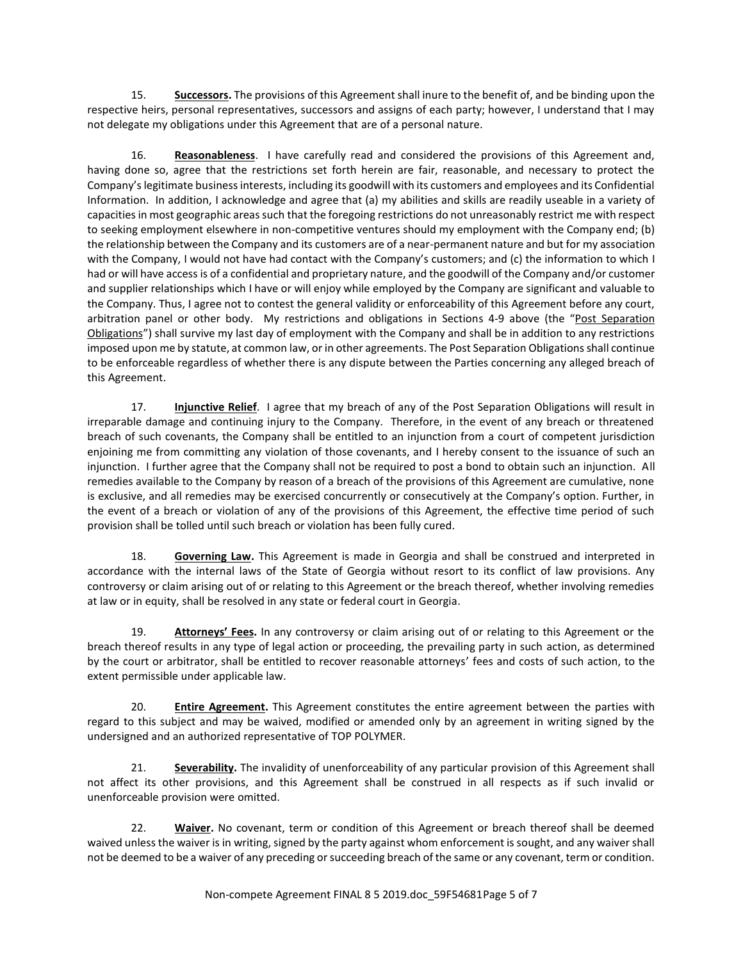15. **Successors.** The provisions of this Agreement shall inure to the benefit of, and be binding upon the respective heirs, personal representatives, successors and assigns of each party; however, I understand that I may not delegate my obligations under this Agreement that are of a personal nature.

16. **Reasonableness**. I have carefully read and considered the provisions of this Agreement and, having done so, agree that the restrictions set forth herein are fair, reasonable, and necessary to protect the Company's legitimate business interests, including its goodwill with its customers and employees and its Confidential Information. In addition, I acknowledge and agree that (a) my abilities and skills are readily useable in a variety of capacities in most geographic areas such that the foregoing restrictions do not unreasonably restrict me with respect to seeking employment elsewhere in non-competitive ventures should my employment with the Company end; (b) the relationship between the Company and its customers are of a near-permanent nature and but for my association with the Company, I would not have had contact with the Company's customers; and (c) the information to which I had or will have access is of a confidential and proprietary nature, and the goodwill of the Company and/or customer and supplier relationships which I have or will enjoy while employed by the Company are significant and valuable to the Company. Thus, I agree not to contest the general validity or enforceability of this Agreement before any court, arbitration panel or other body. My restrictions and obligations in Sections 4-9 above (the "Post Separation Obligations") shall survive my last day of employment with the Company and shall be in addition to any restrictions imposed upon me by statute, at common law, or in other agreements. The Post Separation Obligations shall continue to be enforceable regardless of whether there is any dispute between the Parties concerning any alleged breach of this Agreement.

17. **Injunctive Relief**. I agree that my breach of any of the Post Separation Obligations will result in irreparable damage and continuing injury to the Company. Therefore, in the event of any breach or threatened breach of such covenants, the Company shall be entitled to an injunction from a court of competent jurisdiction enjoining me from committing any violation of those covenants, and I hereby consent to the issuance of such an injunction. I further agree that the Company shall not be required to post a bond to obtain such an injunction. All remedies available to the Company by reason of a breach of the provisions of this Agreement are cumulative, none is exclusive, and all remedies may be exercised concurrently or consecutively at the Company's option. Further, in the event of a breach or violation of any of the provisions of this Agreement, the effective time period of such provision shall be tolled until such breach or violation has been fully cured.

18. **Governing Law.** This Agreement is made in Georgia and shall be construed and interpreted in accordance with the internal laws of the State of Georgia without resort to its conflict of law provisions. Any controversy or claim arising out of or relating to this Agreement or the breach thereof, whether involving remedies at law or in equity, shall be resolved in any state or federal court in Georgia.

19. **Attorneys' Fees.** In any controversy or claim arising out of or relating to this Agreement or the breach thereof results in any type of legal action or proceeding, the prevailing party in such action, as determined by the court or arbitrator, shall be entitled to recover reasonable attorneys' fees and costs of such action, to the extent permissible under applicable law.

20. **Entire Agreement.** This Agreement constitutes the entire agreement between the parties with regard to this subject and may be waived, modified or amended only by an agreement in writing signed by the undersigned and an authorized representative of TOP POLYMER.

21. **Severability.** The invalidity of unenforceability of any particular provision of this Agreement shall not affect its other provisions, and this Agreement shall be construed in all respects as if such invalid or unenforceable provision were omitted.

22. **Waiver.** No covenant, term or condition of this Agreement or breach thereof shall be deemed waived unless the waiver is in writing, signed by the party against whom enforcement is sought, and any waiver shall not be deemed to be a waiver of any preceding or succeeding breach of the same or any covenant, term or condition.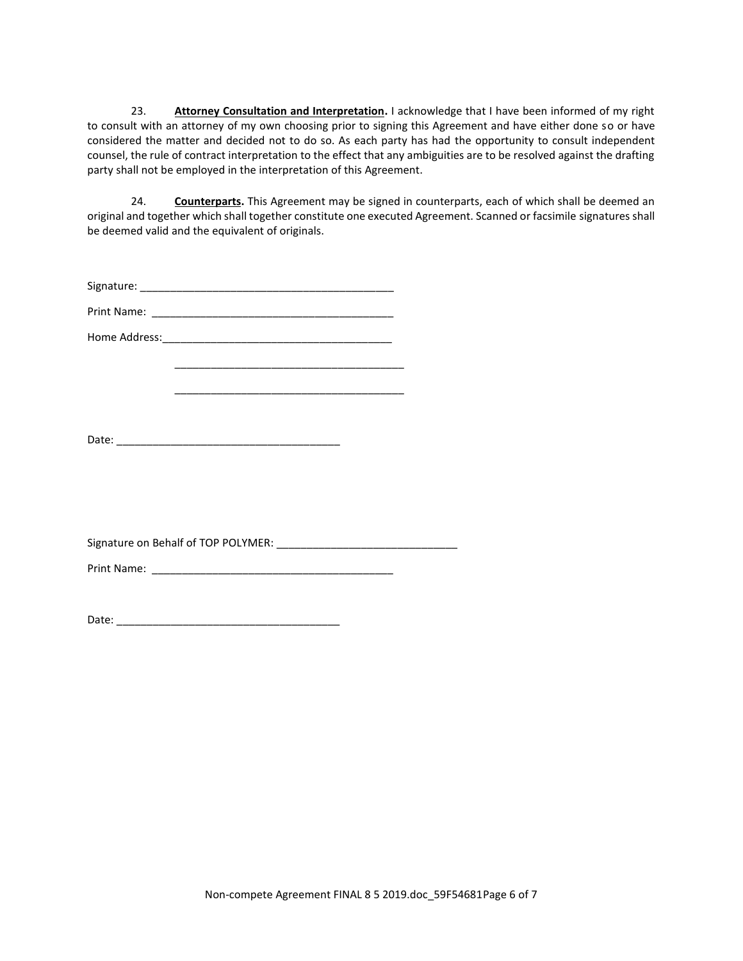23. **Attorney Consultation and Interpretation.** I acknowledge that I have been informed of my right to consult with an attorney of my own choosing prior to signing this Agreement and have either done so or have considered the matter and decided not to do so. As each party has had the opportunity to consult independent counsel, the rule of contract interpretation to the effect that any ambiguities are to be resolved against the drafting party shall not be employed in the interpretation of this Agreement.

24. **Counterparts.** This Agreement may be signed in counterparts, each of which shall be deemed an original and together which shall together constitute one executed Agreement. Scanned or facsimile signatures shall be deemed valid and the equivalent of originals.

| Signature: |  |
|------------|--|
|            |  |

Print Name: \_\_\_\_\_\_\_\_\_\_\_\_\_\_\_\_\_\_\_\_\_\_\_\_\_\_\_\_\_\_\_\_\_\_\_\_\_\_\_\_

Home Address:\_\_\_\_\_\_\_\_\_\_\_\_\_\_\_\_\_\_\_\_\_\_\_\_\_\_\_\_\_\_\_\_\_\_\_\_\_\_

Signature on Behalf of TOP POLYMER: \_\_\_\_\_\_\_\_\_\_\_\_\_\_\_\_\_\_\_\_\_\_\_\_\_\_\_\_\_\_

\_\_\_\_\_\_\_\_\_\_\_\_\_\_\_\_\_\_\_\_\_\_\_\_\_\_\_\_\_\_\_\_\_\_\_\_\_\_

\_\_\_\_\_\_\_\_\_\_\_\_\_\_\_\_\_\_\_\_\_\_\_\_\_\_\_\_\_\_\_\_\_\_\_\_\_\_

Print Name: \_\_\_\_\_\_\_\_\_\_\_\_\_\_\_\_\_\_\_\_\_\_\_\_\_\_\_\_\_\_\_\_\_\_\_\_\_\_\_\_

Date: \_\_\_\_\_\_\_\_\_\_\_\_\_\_\_\_\_\_\_\_\_\_\_\_\_\_\_\_\_\_\_\_\_\_\_\_\_

Date: \_\_\_\_\_\_\_\_\_\_\_\_\_\_\_\_\_\_\_\_\_\_\_\_\_\_\_\_\_\_\_\_\_\_\_\_\_